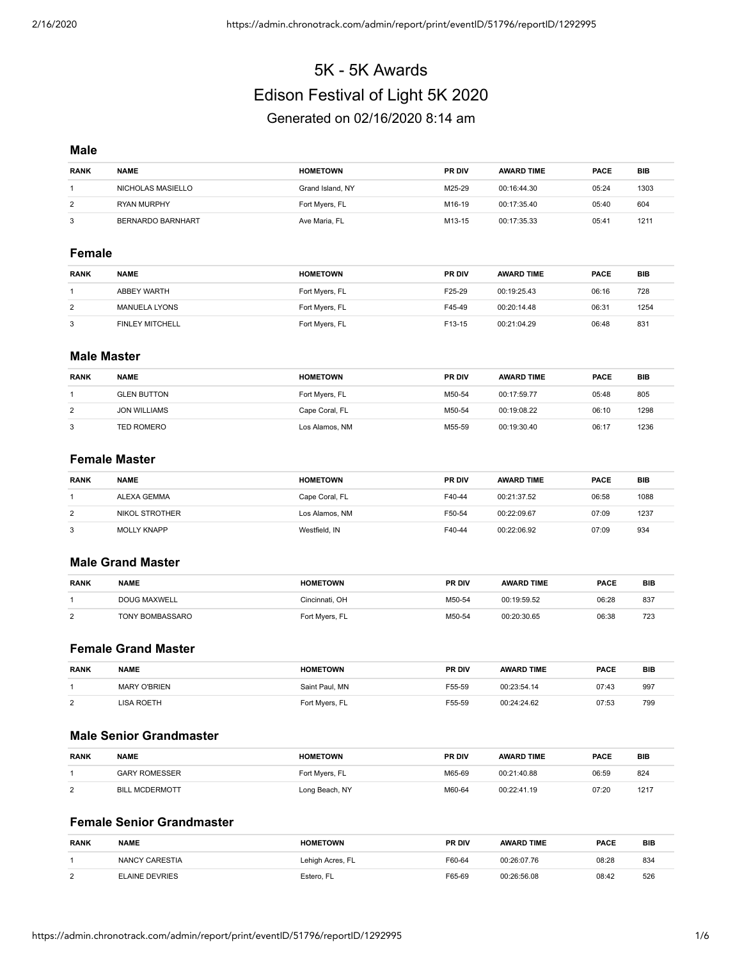# 5K - 5K Awards Edison Festival of Light 5K 2020 Generated on 02/16/2020 8:14 am

#### **Male**

| <b>RANK</b> | <b>NAME</b>              | <b>HOMETOWN</b>  | <b>PR DIV</b> | <b>AWARD TIME</b> | <b>PACE</b> | <b>BIB</b> |
|-------------|--------------------------|------------------|---------------|-------------------|-------------|------------|
|             | NICHOLAS MASIELLO        | Grand Island, NY | M25-29        | 00:16:44.30       | 05:24       | 1303       |
| 2           | <b>RYAN MURPHY</b>       | Fort Myers, FL   | M16-19        | 00:17:35.40       | 05:40       | 604        |
| 3           | <b>BERNARDO BARNHART</b> | Ave Maria, FL    | M13-15        | 00:17:35.33       | 05:41       | 1211       |

#### **Female**

| <b>RANK</b> | <b>NAME</b>            | <b>HOMETOWN</b> | <b>PR DIV</b> | <b>AWARD TIME</b> | <b>PACE</b> | <b>BIB</b> |
|-------------|------------------------|-----------------|---------------|-------------------|-------------|------------|
|             | ABBEY WARTH            | Fort Myers, FL  | F25-29        | 00:19:25.43       | 06:16       | 728        |
| 2           | <b>MANUELA LYONS</b>   | Fort Myers, FL  | F45-49        | 00:20:14.48       | 06:31       | 1254       |
|             | <b>FINLEY MITCHELL</b> | Fort Myers, FL  | F13-15        | 00:21:04.29       | 06:48       | 831        |

#### **Male Master**

| <b>RANK</b> | <b>NAME</b>         | <b>HOMETOWN</b> | <b>PR DIV</b> | <b>AWARD TIME</b> | <b>PACE</b> | <b>BIB</b> |
|-------------|---------------------|-----------------|---------------|-------------------|-------------|------------|
|             | <b>GLEN BUTTON</b>  | Fort Myers, FL  | M50-54        | 00:17:59.77       | 05:48       | 805        |
| 2           | <b>JON WILLIAMS</b> | Cape Coral, FL  | M50-54        | 00:19:08.22       | 06:10       | 1298       |
| 3           | <b>TED ROMERO</b>   | Los Alamos, NM  | M55-59        | 00:19:30.40       | 06:17       | 1236       |

#### **Female Master**

| <b>RANK</b> | <b>NAME</b>        | <b>HOMETOWN</b> | <b>PR DIV</b> | <b>AWARD TIME</b> | <b>PACE</b> | <b>BIB</b> |
|-------------|--------------------|-----------------|---------------|-------------------|-------------|------------|
|             | ALEXA GEMMA        | Cape Coral, FL  | F40-44        | 00:21:37.52       | 06:58       | 1088       |
| 2           | NIKOL STROTHER     | Los Alamos, NM  | F50-54        | 00:22:09.67       | 07:09       | 1237       |
| 3           | <b>MOLLY KNAPP</b> | Westfield, IN   | F40-44        | 00:22:06.92       | 07:09       | 934        |

## **Male Grand Master**

| <b>RANK</b> | <b>NAME</b>     | <b>HOMETOWN</b> | <b>PR DIV</b> | <b>AWARD TIME</b> | <b>PACE</b> | <b>BIB</b> |
|-------------|-----------------|-----------------|---------------|-------------------|-------------|------------|
|             | DOUG MAXWELL    | Cincinnati. OH  | M50-54        | 00:19:59.52       | 06:28       | 837        |
| $\Omega$    | TONY BOMBASSARO | Fort Myers, FL  | M50-54        | 00:20:30.65       | 06:38       | 723        |

## **Female Grand Master**

| <b>RANK</b> | <b>NAME</b>         | <b>HOMETOWN</b> | <b>PR DIV</b> | <b>AWARD TIME</b> | <b>PACE</b> | <b>BIB</b> |
|-------------|---------------------|-----------------|---------------|-------------------|-------------|------------|
|             | <b>MARY O'BRIEN</b> | Saint Paul, MN  | F55-59        | 00:23:54.14       | 07:43       | 997        |
| $\Omega$    | LISA ROETH          | Fort Myers, FL  | F55-59        | 00:24:24.62       | 07:53       | 799        |

## **Male Senior Grandmaster**

| <b>RANK</b> | <b>NAME</b>           | <b>HOMETOWN</b> | <b>PR DIV</b> | <b>AWARD TIME</b> | <b>PACE</b> | <b>BIB</b> |
|-------------|-----------------------|-----------------|---------------|-------------------|-------------|------------|
|             | <b>GARY ROMESSER</b>  | Fort Myers, FL  | M65-69        | 00:21:40.88       | 06:59       | 824        |
| $\Omega$    | <b>BILL MCDERMOTT</b> | Long Beach, NY  | M60-64        | 00:22:41.19       | 07:20       | 1217       |

# **Female Senior Grandmaster**

| <b>RANK</b> | <b>NAME</b>           | <b>HOMETOWN</b>  | <b>PR DIV</b> | <b>AWARD TIME</b> | <b>PACE</b> | <b>BIB</b> |
|-------------|-----------------------|------------------|---------------|-------------------|-------------|------------|
|             | NANCY CARESTIA        | Lehigh Acres, FL | F60-64        | 00:26:07.76       | 08:28       | 834        |
| $\sim$      | <b>ELAINE DEVRIES</b> | Estero. FL       | F65-69        | 00:26:56.08       | 08:42       | 526        |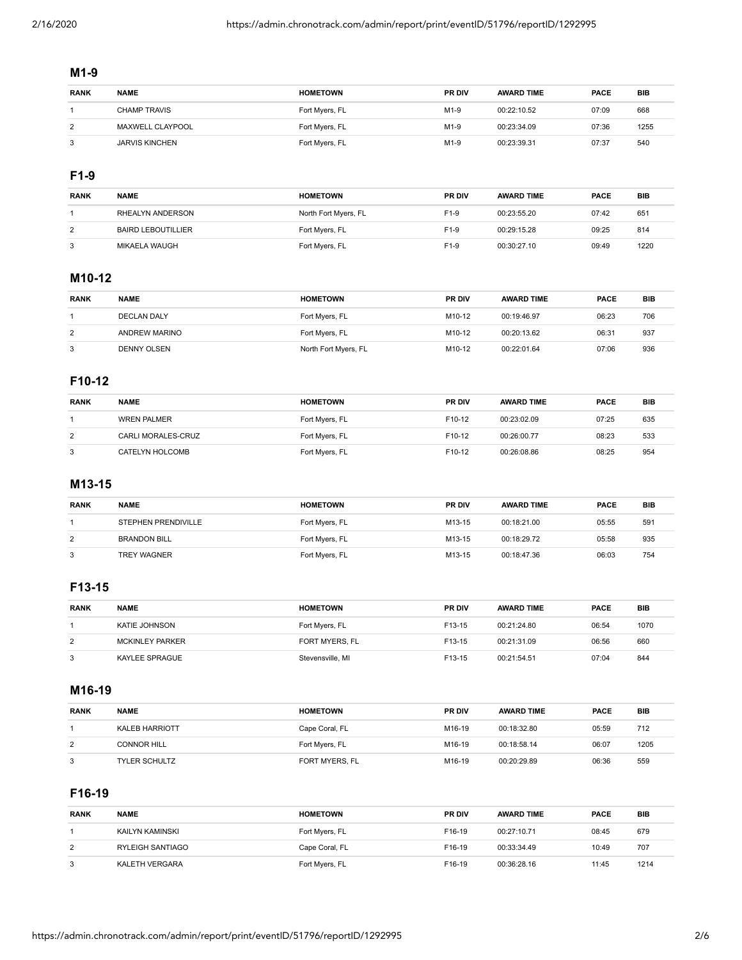#### **M1-9**

| <b>RANK</b> | <b>NAME</b>           | <b>HOMETOWN</b> | <b>PR DIV</b>    | <b>AWARD TIME</b> | <b>PACE</b> | BIB  |
|-------------|-----------------------|-----------------|------------------|-------------------|-------------|------|
|             | CHAMP TRAVIS          | Fort Myers, FL  | M <sub>1-9</sub> | 00:22:10.52       | 07:09       | 668  |
| 2           | MAXWELL CLAYPOOL      | Fort Myers, FL  | M <sub>1-9</sub> | 00:23:34.09       | 07:36       | 1255 |
| 3           | <b>JARVIS KINCHEN</b> | Fort Myers, FL  | M1-9             | 00:23:39.31       | 07:37       | 540  |

## **F1-9**

| <b>RANK</b> | <b>NAME</b>               | <b>HOMETOWN</b>      | <b>PR DIV</b> | <b>AWARD TIME</b> | <b>PACE</b> | BIB  |
|-------------|---------------------------|----------------------|---------------|-------------------|-------------|------|
|             | RHEALYN ANDERSON          | North Fort Myers, FL | $F1-9$        | 00:23:55.20       | 07:42       | 651  |
| 2           | <b>BAIRD LEBOUTILLIER</b> | Fort Myers, FL       | $F1-9$        | 00:29:15.28       | 09:25       | 814  |
| 3           | MIKAELA WAUGH             | Fort Myers, FL       | $F1-9$        | 00:30:27.10       | 09:49       | 1220 |

# **M10-12**

| <b>RANK</b> | <b>NAME</b>          | <b>HOMETOWN</b>      | <b>PR DIV</b> | <b>AWARD TIME</b> | <b>PACE</b> | BIB |
|-------------|----------------------|----------------------|---------------|-------------------|-------------|-----|
|             | <b>DECLAN DALY</b>   | Fort Myers, FL       | M10-12        | 00:19:46.97       | 06:23       | 706 |
| 2           | <b>ANDREW MARINO</b> | Fort Myers, FL       | M10-12        | 00:20:13.62       | 06:31       | 937 |
| 3           | <b>DENNY OLSEN</b>   | North Fort Myers, FL | M10-12        | 00:22:01.64       | 07:06       | 936 |

## **F10-12**

| <b>RANK</b> | <b>NAME</b>        | <b>HOMETOWN</b> | <b>PR DIV</b>      | <b>AWARD TIME</b> | <b>PACE</b> | BIB |
|-------------|--------------------|-----------------|--------------------|-------------------|-------------|-----|
|             | <b>WREN PALMER</b> | Fort Myers, FL  | F <sub>10-12</sub> | 00:23:02.09       | 07:25       | 635 |
| 2           | CARLI MORALES-CRUZ | Fort Myers, FL  | F <sub>10-12</sub> | 00:26:00.77       | 08:23       | 533 |
| 3           | CATELYN HOLCOMB    | Fort Myers, FL  | F10-12             | 00:26:08.86       | 08:25       | 954 |

## **M13-15**

| <b>RANK</b> | <b>NAME</b>                | <b>HOMETOWN</b> | <b>PR DIV</b> | <b>AWARD TIME</b> | <b>PACE</b> | <b>BIB</b> |
|-------------|----------------------------|-----------------|---------------|-------------------|-------------|------------|
|             | <b>STEPHEN PRENDIVILLE</b> | Fort Myers, FL  | M13-15        | 00:18:21.00       | 05:55       | 591        |
| 2           | <b>BRANDON BILL</b>        | Fort Myers, FL  | M13-15        | 00:18:29.72       | 05:58       | 935        |
| 3           | <b>TREY WAGNER</b>         | Fort Myers, FL  | M13-15        | 00:18:47.36       | 06:03       | 754        |

# **F13-15**

| <b>RANK</b> | <b>NAME</b>            | <b>HOMETOWN</b>  | <b>PR DIV</b> | <b>AWARD TIME</b> | <b>PACE</b> | <b>BIB</b> |
|-------------|------------------------|------------------|---------------|-------------------|-------------|------------|
|             | KATIE JOHNSON          | Fort Myers, FL   | F13-15        | 00:21:24.80       | 06:54       | 1070       |
| 2           | <b>MCKINLEY PARKER</b> | FORT MYERS, FL   | F13-15        | 00:21:31.09       | 06:56       | 660        |
|             | KAYLEE SPRAGUE         | Stevensville, MI | F13-15        | 00:21:54.51       | 07:04       | 844        |

# **M16-19**

| <b>RANK</b> | <b>NAME</b>           | <b>HOMETOWN</b> | <b>PR DIV</b>      | <b>AWARD TIME</b> | <b>PACE</b> | <b>BIB</b> |
|-------------|-----------------------|-----------------|--------------------|-------------------|-------------|------------|
|             | <b>KALEB HARRIOTT</b> | Cape Coral, FL  | M16-19             | 00:18:32.80       | 05:59       | 712        |
| 2           | <b>CONNOR HILL</b>    | Fort Myers, FL  | M16-19             | 00:18:58.14       | 06:07       | 1205       |
| 3           | <b>TYLER SCHULTZ</b>  | FORT MYERS, FL  | M <sub>16-19</sub> | 00:20:29.89       | 06:36       | 559        |

# **F16-19**

| <b>RANK</b>    | <b>NAME</b>      | <b>HOMETOWN</b> | <b>PR DIV</b> | <b>AWARD TIME</b> | <b>PACE</b> | BIB  |
|----------------|------------------|-----------------|---------------|-------------------|-------------|------|
|                | KAILYN KAMINSKI  | Fort Myers, FL  | F16-19        | 00:27:10.71       | 08:45       | 679  |
| $\overline{2}$ | RYLEIGH SANTIAGO | Cape Coral, FL  | F16-19        | 00:33:34.49       | 10:49       | 707  |
| 3              | KALETH VERGARA   | Fort Myers, FL  | F16-19        | 00:36:28.16       | 11:45       | 1214 |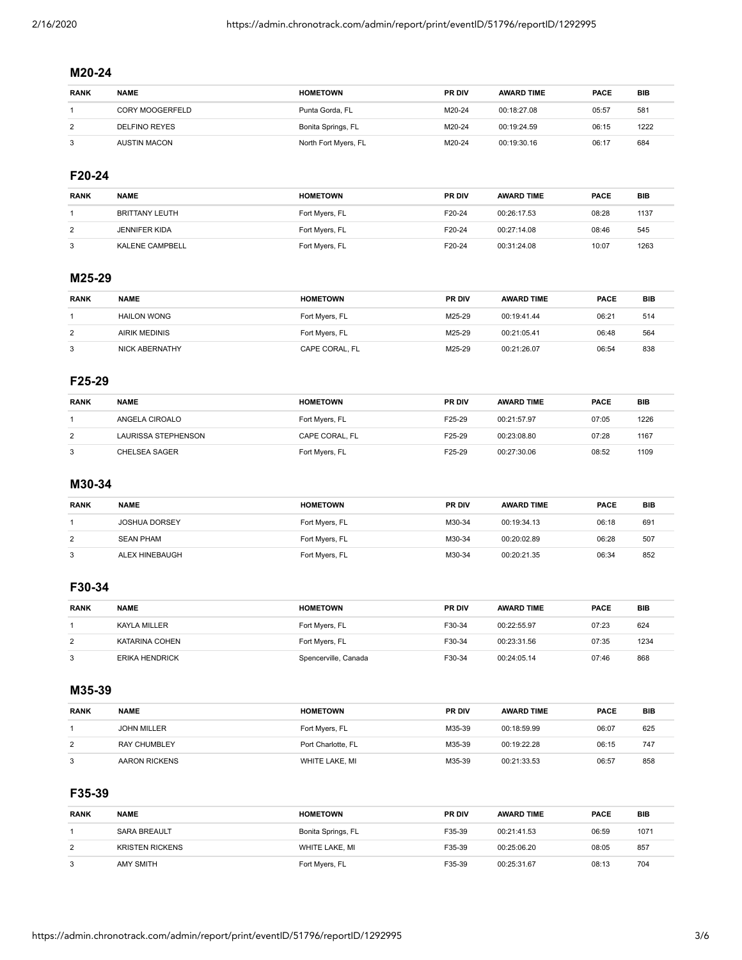# **M20-24**

| <b>RANK</b> | <b>NAME</b>          | <b>HOMETOWN</b>      | <b>PR DIV</b> | <b>AWARD TIME</b> | <b>PACE</b> | BIB  |
|-------------|----------------------|----------------------|---------------|-------------------|-------------|------|
|             | CORY MOOGERFELD      | Punta Gorda, FL      | M20-24        | 00:18:27.08       | 05:57       | 581  |
| 2           | <b>DELFINO REYES</b> | Bonita Springs, FL   | M20-24        | 00:19:24.59       | 06:15       | 1222 |
| 3           | <b>AUSTIN MACON</b>  | North Fort Myers, FL | M20-24        | 00:19:30.16       | 06:17       | 684  |

# **F20-24**

| <b>RANK</b> | <b>NAME</b>           | <b>HOMETOWN</b> | <b>PR DIV</b> | <b>AWARD TIME</b> | <b>PACE</b> | <b>BIB</b> |
|-------------|-----------------------|-----------------|---------------|-------------------|-------------|------------|
|             | <b>BRITTANY LEUTH</b> | Fort Myers, FL  | F20-24        | 00:26:17.53       | 08:28       | 1137       |
| 2           | <b>JENNIFER KIDA</b>  | Fort Myers, FL  | F20-24        | 00:27:14.08       | 08:46       | 545        |
| 3           | KALENE CAMPBELL       | Fort Myers, FL  | F20-24        | 00:31:24.08       | 10:07       | 1263       |

## **M25-29**

| <b>RANK</b> | <b>NAME</b>           | <b>HOMETOWN</b> | <b>PR DIV</b> | <b>AWARD TIME</b> | <b>PACE</b> | BIB |
|-------------|-----------------------|-----------------|---------------|-------------------|-------------|-----|
|             | <b>HAILON WONG</b>    | Fort Myers, FL  | M25-29        | 00:19:41.44       | 06:21       | 514 |
| 2           | <b>AIRIK MEDINIS</b>  | Fort Myers, FL  | M25-29        | 00:21:05.41       | 06:48       | 564 |
| 3           | <b>NICK ABERNATHY</b> | CAPE CORAL, FL  | M25-29        | 00:21:26.07       | 06:54       | 838 |

# **F25-29**

| <b>RANK</b> | <b>NAME</b>         | <b>HOMETOWN</b> | <b>PR DIV</b> | <b>AWARD TIME</b> | PACE  | <b>BIB</b> |
|-------------|---------------------|-----------------|---------------|-------------------|-------|------------|
|             | ANGELA CIROALO      | Fort Myers, FL  | F25-29        | 00:21:57.97       | 07:05 | 1226       |
| 2           | LAURISSA STEPHENSON | CAPE CORAL, FL  | F25-29        | 00:23:08.80       | 07:28 | 1167       |
| 3           | CHELSEA SAGER       | Fort Myers, FL  | F25-29        | 00:27:30.06       | 08:52 | 1109       |

## **M30-34**

| <b>RANK</b> | <b>NAME</b>           | <b>HOMETOWN</b> | <b>PR DIV</b> | <b>AWARD TIME</b> | <b>PACE</b> | <b>BIB</b> |
|-------------|-----------------------|-----------------|---------------|-------------------|-------------|------------|
|             | <b>JOSHUA DORSEY</b>  | Fort Myers, FL  | M30-34        | 00:19:34.13       | 06:18       | 691        |
| 2           | <b>SEAN PHAM</b>      | Fort Myers, FL  | M30-34        | 00:20:02.89       | 06:28       | 507        |
| 3           | <b>ALEX HINEBAUGH</b> | Fort Myers, FL  | M30-34        | 00:20:21.35       | 06:34       | 852        |

# **F30-34**

| <b>RANK</b> | <b>NAME</b>           | <b>HOMETOWN</b>      | <b>PR DIV</b> | <b>AWARD TIME</b> | <b>PACE</b> | <b>BIB</b> |
|-------------|-----------------------|----------------------|---------------|-------------------|-------------|------------|
|             | KAYLA MILLER          | Fort Myers, FL       | F30-34        | 00:22:55.97       | 07:23       | 624        |
| 2           | KATARINA COHEN        | Fort Myers, FL       | F30-34        | 00:23:31.56       | 07:35       | 1234       |
|             | <b>ERIKA HENDRICK</b> | Spencerville, Canada | F30-34        | 00:24:05.14       | 07:46       | 868        |

#### **M35-39**

| <b>RANK</b> | <b>NAME</b>         | <b>HOMETOWN</b>    | <b>PR DIV</b> | <b>AWARD TIME</b> | <b>PACE</b> | <b>BIB</b> |
|-------------|---------------------|--------------------|---------------|-------------------|-------------|------------|
|             | <b>JOHN MILLER</b>  | Fort Myers, FL     | M35-39        | 00:18:59.99       | 06:07       | 625        |
| 2           | <b>RAY CHUMBLEY</b> | Port Charlotte, FL | M35-39        | 00:19:22.28       | 06:15       | 747        |
| 3           | AARON RICKENS       | WHITE LAKE, MI     | M35-39        | 00:21:33.53       | 06:57       | 858        |

## **F35-39**

| <b>RANK</b>    | <b>NAME</b>            | <b>HOMETOWN</b>    | <b>PR DIV</b> | <b>AWARD TIME</b> | <b>PACE</b> | <b>BIB</b> |
|----------------|------------------------|--------------------|---------------|-------------------|-------------|------------|
|                | <b>SARA BREAULT</b>    | Bonita Springs, FL | F35-39        | 00:21:41.53       | 06:59       | 1071       |
| $\overline{2}$ | <b>KRISTEN RICKENS</b> | WHITE LAKE, MI     | F35-39        | 00:25:06.20       | 08:05       | 857        |
| 3              | <b>AMY SMITH</b>       | Fort Myers, FL     | F35-39        | 00:25:31.67       | 08:13       | 704        |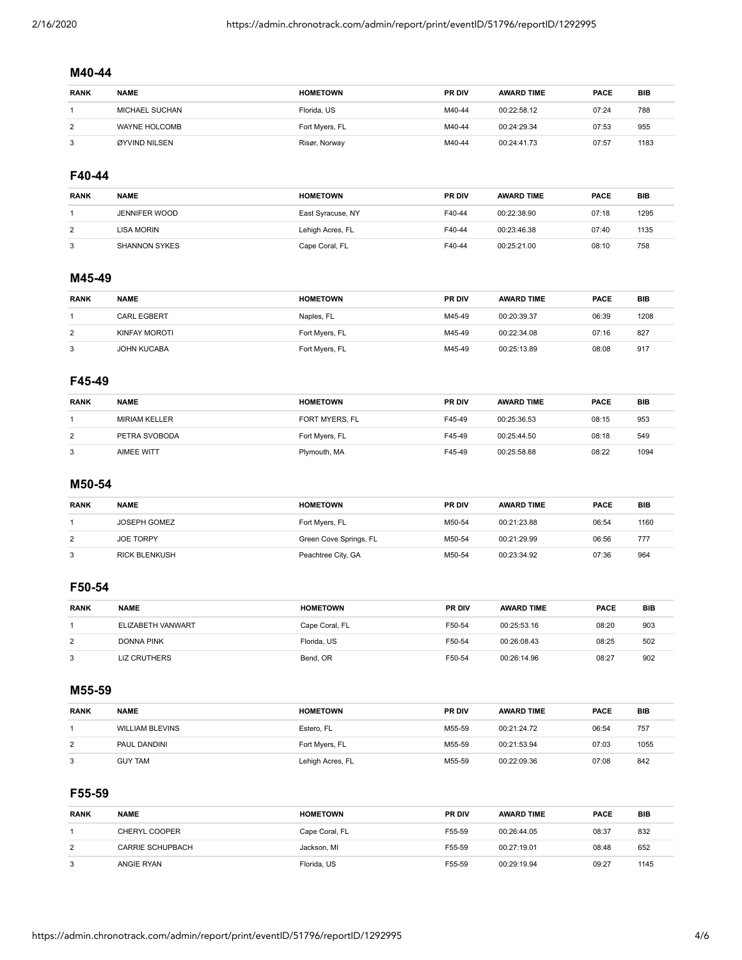# **M40-44**

| <b>RANK</b> | <b>NAME</b>           | <b>HOMETOWN</b> | <b>PR DIV</b> | <b>AWARD TIME</b> | <b>PACE</b> | <b>BIB</b> |
|-------------|-----------------------|-----------------|---------------|-------------------|-------------|------------|
|             | <b>MICHAEL SUCHAN</b> | Florida, US     | M40-44        | 00:22:58.12       | 07:24       | 788        |
| 2           | WAYNE HOLCOMB         | Fort Myers, FL  | M40-44        | 00:24:29.34       | 07:53       | 955        |
| 3           | ØYVIND NILSEN         | Risør, Norway   | M40-44        | 00:24:41.73       | 07:57       | 1183       |

## **F40-44**

| <b>RANK</b> | <b>NAME</b>          | <b>HOMETOWN</b>   | <b>PR DIV</b> | <b>AWARD TIME</b> | PACE  | <b>BIB</b> |
|-------------|----------------------|-------------------|---------------|-------------------|-------|------------|
|             | JENNIFER WOOD        | East Syracuse, NY | F40-44        | 00:22:38.90       | 07:18 | 1295       |
| 2           | LISA MORIN           | Lehigh Acres, FL  | F40-44        | 00:23:46.38       | 07:40 | 1135       |
|             | <b>SHANNON SYKES</b> | Cape Coral, FL    | F40-44        | 00:25:21.00       | 08:10 | 758        |

## **M45-49**

| <b>RANK</b> | <b>NAME</b>        | <b>HOMETOWN</b> | <b>PR DIV</b> | <b>AWARD TIME</b> | <b>PACE</b> | BIB  |
|-------------|--------------------|-----------------|---------------|-------------------|-------------|------|
|             | <b>CARL EGBERT</b> | Naples, FL      | M45-49        | 00:20:39.37       | 06:39       | 1208 |
| 2           | KINFAY MOROTI      | Fort Myers, FL  | M45-49        | 00:22:34.08       | 07:16       | 827  |
| 3           | <b>JOHN KUCABA</b> | Fort Myers, FL  | M45-49        | 00:25:13.89       | 08:08       | 917  |

## **F45-49**

| <b>RANK</b> | <b>NAME</b>       | <b>HOMETOWN</b> | <b>PR DIV</b> | <b>AWARD TIME</b> | <b>PACE</b> | <b>BIB</b> |
|-------------|-------------------|-----------------|---------------|-------------------|-------------|------------|
|             | MIRIAM KELLER     | FORT MYERS, FL  | F45-49        | 00:25:36.53       | 08:15       | 953        |
| 2           | PETRA SVOBODA     | Fort Myers, FL  | F45-49        | 00:25:44.50       | 08:18       | 549        |
| 3           | <b>AIMEE WITT</b> | Plymouth, MA    | F45-49        | 00:25:58.88       | 08:22       | 1094       |

## **M50-54**

| <b>RANK</b> | <b>NAME</b>          | <b>HOMETOWN</b>        | <b>PR DIV</b> | <b>AWARD TIME</b> | <b>PACE</b> | <b>BIB</b> |
|-------------|----------------------|------------------------|---------------|-------------------|-------------|------------|
|             | JOSEPH GOMEZ         | Fort Myers, FL         | M50-54        | 00:21:23.88       | 06:54       | 1160       |
| 2           | <b>JOE TORPY</b>     | Green Cove Springs, FL | M50-54        | 00:21:29.99       | 06:56       | 777        |
| 3           | <b>RICK BLENKUSH</b> | Peachtree City, GA     | M50-54        | 00:23:34.92       | 07:36       | 964        |

## **F50-54**

| <b>RANK</b> | <b>NAME</b>         | <b>HOMETOWN</b> | <b>PR DIV</b> | <b>AWARD TIME</b> | <b>PACE</b> | BIB |
|-------------|---------------------|-----------------|---------------|-------------------|-------------|-----|
|             | ELIZABETH VANWART   | Cape Coral, FL  | F50-54        | 00:25:53.16       | 08:20       | 903 |
| 2           | DONNA PINK          | Florida, US     | F50-54        | 00:26:08.43       | 08:25       | 502 |
| 3           | <b>LIZ CRUTHERS</b> | Bend, OR        | F50-54        | 00:26:14.96       | 08:27       | 902 |

#### **M55-59**

| <b>RANK</b>    | <b>NAME</b>            | <b>HOMETOWN</b>  | <b>PR DIV</b> | <b>AWARD TIME</b> | <b>PACE</b> | <b>BIB</b> |
|----------------|------------------------|------------------|---------------|-------------------|-------------|------------|
|                | <b>WILLIAM BLEVINS</b> | Estero, FL       | M55-59        | 00:21:24.72       | 06:54       | 757        |
| $\overline{2}$ | PAUL DANDINI           | Fort Myers, FL   | M55-59        | 00:21:53.94       | 07:03       | 1055       |
| 3              | <b>GUY TAM</b>         | Lehigh Acres, FL | M55-59        | 00:22:09.36       | 07:08       | 842        |

## **F55-59**

| <b>RANK</b> | <b>NAME</b>             | <b>HOMETOWN</b> | <b>PR DIV</b> | <b>AWARD TIME</b> | <b>PACE</b> | <b>BIB</b> |
|-------------|-------------------------|-----------------|---------------|-------------------|-------------|------------|
|             | CHERYL COOPER           | Cape Coral, FL  | F55-59        | 00:26:44.05       | 08:37       | 832        |
| 2           | <b>CARRIE SCHUPBACH</b> | Jackson, MI     | F55-59        | 00:27:19.01       | 08:48       | 652        |
| 3           | ANGIE RYAN              | Florida, US     | F55-59        | 00:29:19.94       | 09:27       | 1145       |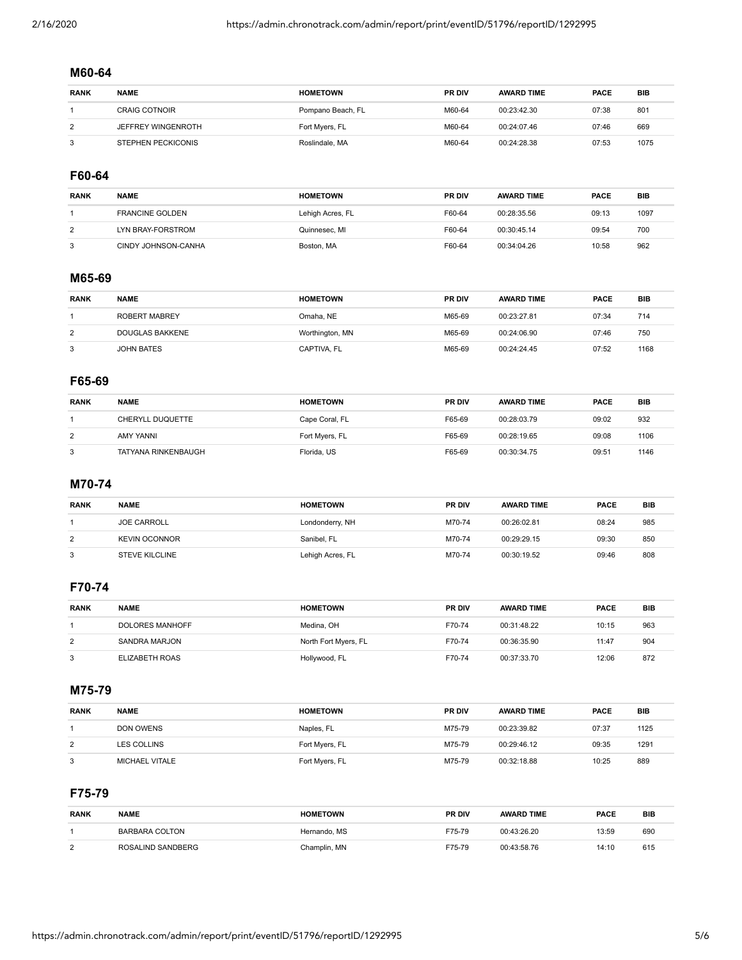## **M60-64**

| <b>RANK</b> | <b>NAME</b>               | <b>HOMETOWN</b>   | <b>PR DIV</b> | <b>AWARD TIME</b> | <b>PACE</b> | <b>BIB</b>      |
|-------------|---------------------------|-------------------|---------------|-------------------|-------------|-----------------|
|             | <b>CRAIG COTNOIR</b>      | Pompano Beach, FL | M60-64        | 00:23:42.30       | 07:38       | 80 <sup>°</sup> |
| 2           | JEFFREY WINGENROTH        | Fort Myers, FL    | M60-64        | 00:24:07.46       | 07:46       | 669             |
| 3           | <b>STEPHEN PECKICONIS</b> | Roslindale, MA    | M60-64        | 00:24:28.38       | 07:53       | 1075            |

## **F60-64**

| <b>RANK</b> | <b>NAME</b>            | <b>HOMETOWN</b>  | <b>PR DIV</b> | <b>AWARD TIME</b> | <b>PACE</b> | BIB  |
|-------------|------------------------|------------------|---------------|-------------------|-------------|------|
|             | <b>FRANCINE GOLDEN</b> | Lehigh Acres, FL | F60-64        | 00:28:35.56       | 09:13       | 1097 |
| 2           | LYN BRAY-FORSTROM      | Quinnesec, MI    | F60-64        | 00:30:45.14       | 09:54       | 700  |
|             | CINDY JOHNSON-CANHA    | Boston, MA       | F60-64        | 00:34:04.26       | 10:58       | 962  |

## **M65-69**

| <b>RANK</b> | <b>NAME</b>     | <b>HOMETOWN</b> | <b>PR DIV</b> | <b>AWARD TIME</b> | <b>PACE</b> | <b>BIB</b> |
|-------------|-----------------|-----------------|---------------|-------------------|-------------|------------|
|             | ROBERT MABREY   | Omaha. NE       | M65-69        | 00:23:27.81       | 07:34       | 714        |
| 2           | DOUGLAS BAKKENE | Worthington, MN | M65-69        | 00:24:06.90       | 07:46       | 750        |
| 3           | JOHN BATES      | CAPTIVA, FL     | M65-69        | 00:24:24.45       | 07:52       | 1168       |

# **F65-69**

| <b>RANK</b> | <b>NAME</b>             | <b>HOMETOWN</b> | <b>PR DIV</b> | <b>AWARD TIME</b> | <b>PACE</b> | <b>BIB</b> |
|-------------|-------------------------|-----------------|---------------|-------------------|-------------|------------|
|             | <b>CHERYLL DUQUETTE</b> | Cape Coral, FL  | F65-69        | 00:28:03.79       | 09:02       | 932        |
| 2           | AMY YANNI               | Fort Myers, FL  | F65-69        | 00:28:19.65       | 09:08       | 1106       |
| 3           | TATYANA RINKENBAUGH     | Florida, US     | F65-69        | 00:30:34.75       | 09:51       | 1146       |

## **M70-74**

| <b>RANK</b> | <b>NAME</b>           | <b>HOMETOWN</b>  | <b>PR DIV</b> | <b>AWARD TIME</b> | <b>PACE</b> | BIB |
|-------------|-----------------------|------------------|---------------|-------------------|-------------|-----|
|             | <b>JOE CARROLL</b>    | Londonderry, NH  | M70-74        | 00:26:02.81       | 08:24       | 985 |
| 2           | <b>KEVIN OCONNOR</b>  | Sanibel, FL      | M70-74        | 00:29:29.15       | 09:30       | 850 |
| 3           | <b>STEVE KILCLINE</b> | Lehigh Acres, FL | M70-74        | 00:30:19.52       | 09:46       | 808 |

## **F70-74**

| <b>RANK</b> | <b>NAME</b>     | <b>HOMETOWN</b>      | <b>PR DIV</b> | <b>AWARD TIME</b> | <b>PACE</b> | BIB |
|-------------|-----------------|----------------------|---------------|-------------------|-------------|-----|
|             | DOLORES MANHOFF | Medina, OH           | F70-74        | 00:31:48.22       | 10:15       | 963 |
| 2           | SANDRA MARJON   | North Fort Myers, FL | F70-74        | 00:36:35.90       | 11:47       | 904 |
|             | ELIZABETH ROAS  | Hollywood, FL        | F70-74        | 00:37:33.70       | 12:06       | 872 |

#### **M75-79**

| <b>RANK</b> | <b>NAME</b>    | <b>HOMETOWN</b> | <b>PR DIV</b> | <b>AWARD TIME</b> | <b>PACE</b> | <b>BIB</b> |
|-------------|----------------|-----------------|---------------|-------------------|-------------|------------|
|             | DON OWENS      | Naples, FL      | M75-79        | 00:23:39.82       | 07:37       | 1125       |
| 2           | LES COLLINS    | Fort Myers, FL  | M75-79        | 00:29:46.12       | 09:35       | 1291       |
| 3           | MICHAEL VITALE | Fort Myers, FL  | M75-79        | 00:32:18.88       | 10:25       | 889        |

# **F75-79**

| <b>RANK</b>    | <b>NAME</b>       | <b>HOMETOWN</b> | <b>PR DIV</b> | <b>AWARD TIME</b> | <b>PACE</b> | <b>BIB</b> |
|----------------|-------------------|-----------------|---------------|-------------------|-------------|------------|
|                | BARBARA COLTON    | Hernando, MS    | F75-79        | 00:43:26.20       | 13:59       | 690        |
| $\overline{2}$ | ROSALIND SANDBERG | Champlin, MN    | F75-79        | 00:43:58.76       | 14:10       | 615        |